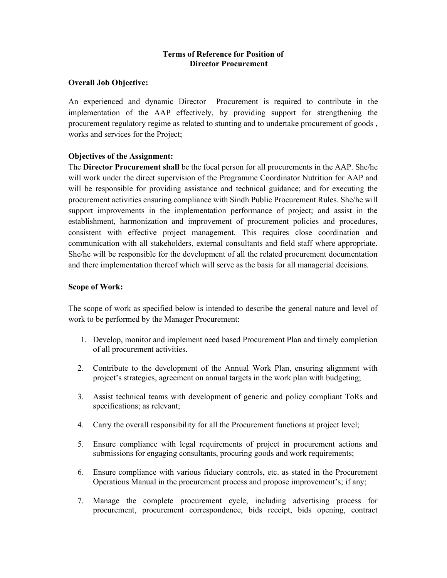# Terms of Reference for Position of Director Procurement

## Overall Job Objective:

An experienced and dynamic Director Procurement is required to contribute in the implementation of the AAP effectively, by providing support for strengthening the procurement regulatory regime as related to stunting and to undertake procurement of goods , works and services for the Project;

## Objectives of the Assignment:

The Director Procurement shall be the focal person for all procurements in the AAP. She/he will work under the direct supervision of the Programme Coordinator Nutrition for AAP and will be responsible for providing assistance and technical guidance; and for executing the procurement activities ensuring compliance with Sindh Public Procurement Rules. She/he will support improvements in the implementation performance of project; and assist in the establishment, harmonization and improvement of procurement policies and procedures, consistent with effective project management. This requires close coordination and communication with all stakeholders, external consultants and field staff where appropriate. She/he will be responsible for the development of all the related procurement documentation and there implementation thereof which will serve as the basis for all managerial decisions.

## Scope of Work:

The scope of work as specified below is intended to describe the general nature and level of work to be performed by the Manager Procurement:

- 1. Develop, monitor and implement need based Procurement Plan and timely completion of all procurement activities.
- 2. Contribute to the development of the Annual Work Plan, ensuring alignment with project's strategies, agreement on annual targets in the work plan with budgeting;
- 3. Assist technical teams with development of generic and policy compliant ToRs and specifications; as relevant;
- 4. Carry the overall responsibility for all the Procurement functions at project level;
- 5. Ensure compliance with legal requirements of project in procurement actions and submissions for engaging consultants, procuring goods and work requirements;
- 6. Ensure compliance with various fiduciary controls, etc. as stated in the Procurement Operations Manual in the procurement process and propose improvement's; if any;
- 7. Manage the complete procurement cycle, including advertising process for procurement, procurement correspondence, bids receipt, bids opening, contract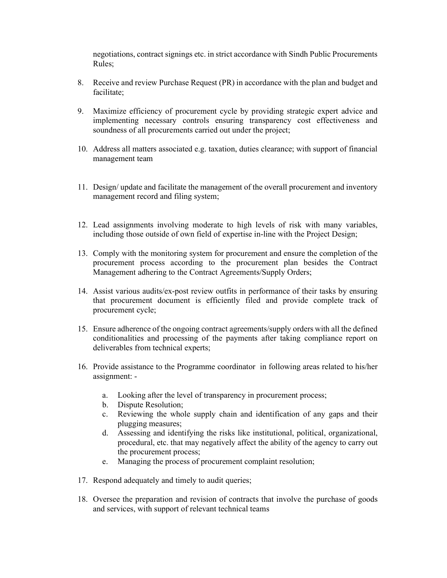negotiations, contract signings etc. in strict accordance with Sindh Public Procurements Rules;

- 8. Receive and review Purchase Request (PR) in accordance with the plan and budget and facilitate;
- 9. Maximize efficiency of procurement cycle by providing strategic expert advice and implementing necessary controls ensuring transparency cost effectiveness and soundness of all procurements carried out under the project;
- 10. Address all matters associated e.g. taxation, duties clearance; with support of financial management team
- 11. Design/ update and facilitate the management of the overall procurement and inventory management record and filing system;
- 12. Lead assignments involving moderate to high levels of risk with many variables, including those outside of own field of expertise in-line with the Project Design;
- 13. Comply with the monitoring system for procurement and ensure the completion of the procurement process according to the procurement plan besides the Contract Management adhering to the Contract Agreements/Supply Orders;
- 14. Assist various audits/ex-post review outfits in performance of their tasks by ensuring that procurement document is efficiently filed and provide complete track of procurement cycle;
- 15. Ensure adherence of the ongoing contract agreements/supply orders with all the defined conditionalities and processing of the payments after taking compliance report on deliverables from technical experts;
- 16. Provide assistance to the Programme coordinator in following areas related to his/her assignment:
	- a. Looking after the level of transparency in procurement process;
	- b. Dispute Resolution;
	- c. Reviewing the whole supply chain and identification of any gaps and their plugging measures;
	- d. Assessing and identifying the risks like institutional, political, organizational, procedural, etc. that may negatively affect the ability of the agency to carry out the procurement process;
	- e. Managing the process of procurement complaint resolution;
- 17. Respond adequately and timely to audit queries;
- 18. Oversee the preparation and revision of contracts that involve the purchase of goods and services, with support of relevant technical teams